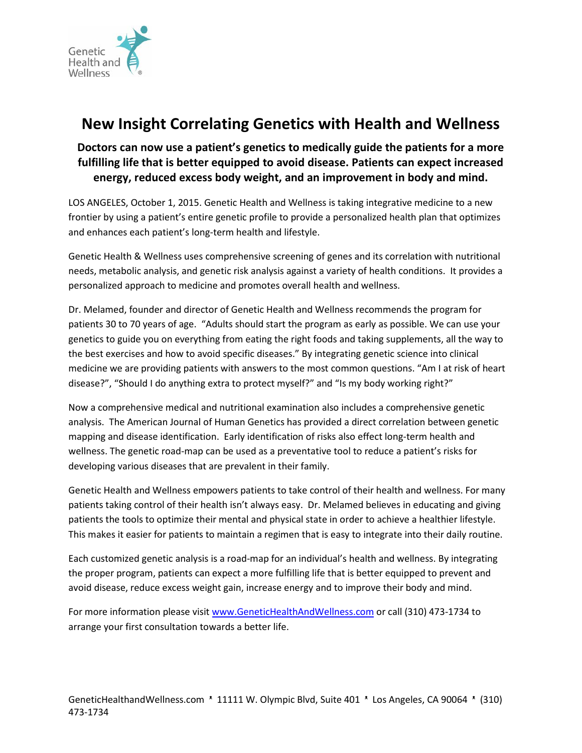

## **New Insight Correlating Genetics with Health and Wellness**

## **Doctors can now use a patient's genetics to medically guide the patients for a more fulfilling life that is better equipped to avoid disease. Patients can expect increased energy, reduced excess body weight, and an improvement in body and mind.**

LOS ANGELES, October 1, 2015. Genetic Health and Wellness is taking integrative medicine to a new frontier by using a patient's entire genetic profile to provide a personalized health plan that optimizes and enhances each patient's long-term health and lifestyle.

Genetic Health & Wellness uses comprehensive screening of genes and its correlation with nutritional needs, metabolic analysis, and genetic risk analysis against a variety of health conditions. It provides a personalized approach to medicine and promotes overall health and wellness.

Dr. Melamed, founder and director of Genetic Health and Wellness recommends the program for patients 30 to 70 years of age. "Adults should start the program as early as possible. We can use your genetics to guide you on everything from eating the right foods and taking supplements, all the way to the best exercises and how to avoid specific diseases." By integrating genetic science into clinical medicine we are providing patients with answers to the most common questions. "Am I at risk of heart disease?", "Should I do anything extra to protect myself?" and "Is my body working right?"

Now a comprehensive medical and nutritional examination also includes a comprehensive genetic analysis. The American Journal of Human Genetics has provided a direct correlation between genetic mapping and disease identification. Early identification of risks also effect long-term health and wellness. The genetic road-map can be used as a preventative tool to reduce a patient's risks for developing various diseases that are prevalent in their family.

Genetic Health and Wellness empowers patients to take control of their health and wellness. For many patients taking control of their health isn't always easy. Dr. Melamed believes in educating and giving patients the tools to optimize their mental and physical state in order to achieve a healthier lifestyle. This makes it easier for patients to maintain a regimen that is easy to integrate into their daily routine.

Each customized genetic analysis is a road-map for an individual's health and wellness. By integrating the proper program, patients can expect a more fulfilling life that is better equipped to prevent and avoid disease, reduce excess weight gain, increase energy and to improve their body and mind.

For more information please visit [www.GeneticHealthAndWellness.com](http://www.genetichealthandwellness.com/) or call (310) 473-1734 to arrange your first consultation towards a better life.